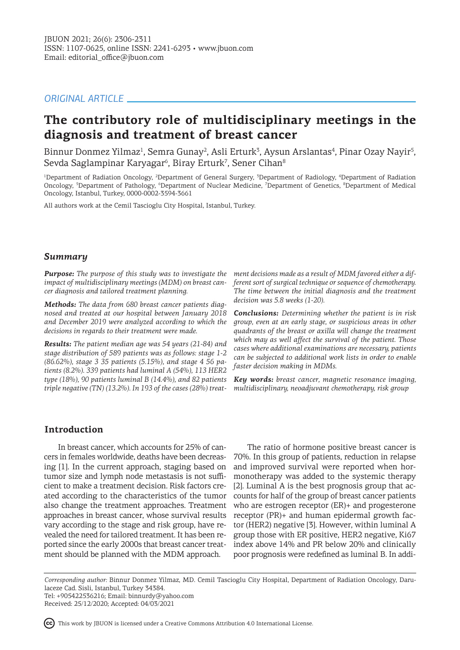# *ORIGINAL ARTICLE*

# **The contributory role of multidisciplinary meetings in the diagnosis and treatment of breast cancer**

Binnur Donmez Yilmaz<sup>ı</sup>, Semra Gunay<sup>2</sup>, Asli Erturk<sup>3</sup>, Aysun Arslantas<sup>4</sup>, Pinar Ozay Nayir<sup>5</sup>, Sevda Saglampinar Karyagar $^{\rm 6}$ , Biray Erturk $^7$ , Sener Cihan $^8$ 

<sup>1</sup>Department of Radiation Oncology, <sup>2</sup>Department of General Surgery, <sup>3</sup>Department of Radiology, <sup>4</sup>Department of Radiation Oncology, <sup>5</sup>Department of Pathology, <sup>6</sup>Department of Nuclear Medicine, 7Department of Genetics, <sup>8</sup>Department of Medical Oncology, Istanbul, Turkey, 0000-0002-3594-3661

All authors work at the Cemil Tascioglu City Hospital, Istanbul, Turkey.

## *Summary*

*Purpose: The purpose of this study was to investigate the impact of multidisciplinary meetings (MDM) on breast cancer diagnosis and tailored treatment planning.*

*Methods: The data from 680 breast cancer patients diagnosed and treated at our hospital between January 2018 and December 2019 were analyzed according to which the decisions in regards to their treatment were made.* 

*Results: The patient median age was 54 years (21-84) and stage distribution of 589 patients was as follows: stage 1-2 (86.62%), stage 3 35 patients (5.15%), and stage 4 56 patients (8.2%). 339 patients had luminal A (54%), 113 HER2 type (18%), 90 patients luminal B (14.4%), and 82 patients triple negative (TN) (13.2%). In 193 of the cases (28%) treat-*

*ment decisions made as a result of MDM favored either a different sort of surgical technique or sequence of chemotherapy. The time between the initial diagnosis and the treatment decision was 5.8 weeks (1-20).*

*Conclusions: Determining whether the patient is in risk group, even at an early stage, or suspicious areas in other quadrants of the breast or axilla will change the treatment which may as well affect the survival of the patient. Those cases where additional examinations are necessary, patients can be subjected to additional work lists in order to enable faster decision making in MDMs.*

*Key words: breast cancer, magnetic resonance imaging, multidisciplinary, neoadjuvant chemotherapy, risk group*

## **Introduction**

In breast cancer, which accounts for 25% of cancers in females worldwide, deaths have been decreasing [1]. In the current approach, staging based on tumor size and lymph node metastasis is not sufficient to make a treatment decision. Risk factors created according to the characteristics of the tumor also change the treatment approaches. Treatment approaches in breast cancer, whose survival results vary according to the stage and risk group, have revealed the need for tailored treatment. It has been reported since the early 2000s that breast cancer treatment should be planned with the MDM approach.

The ratio of hormone positive breast cancer is 70%. In this group of patients, reduction in relapse and improved survival were reported when hormonotherapy was added to the systemic therapy [2]. Luminal A is the best prognosis group that accounts for half of the group of breast cancer patients who are estrogen receptor (ER)+ and progesterone receptor (PR)+ and human epidermal growth factor (HER2) negative [3]. However, within luminal A group those with ER positive, HER2 negative, Ki67 index above 14% and PR below 20% and clinically poor prognosis were redefined as luminal B. In addi-

*Corresponding author:* Binnur Donmez Yilmaz, MD. Cemil Tascioglu City Hospital, Department of Radiation Oncology, Darulaceze Cad. Sisli, Istanbul, Turkey 34384.

Tel: +905422536216; Email: binnurdy@yahoo.com Received: 25/12/2020; Accepted: 04/03/2021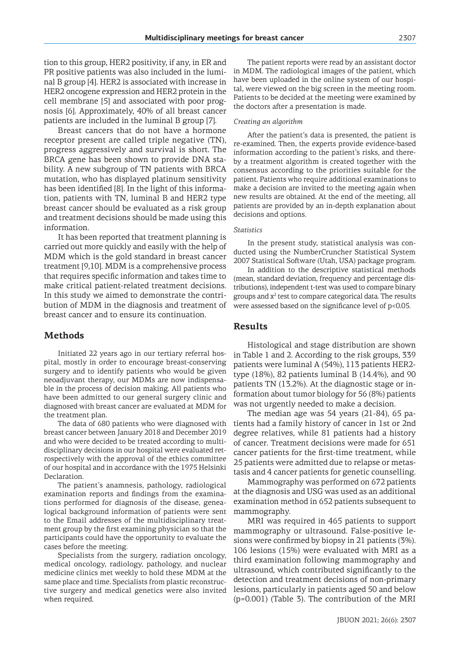tion to this group, HER2 positivity, if any, in ER and PR positive patients was also included in the luminal B group [4]. HER2 is associated with increase in HER2 oncogene expression and HER2 protein in the cell membrane [5] and associated with poor prognosis [6]. Approximately, 40% of all breast cancer patients are included in the luminal B group [7].

Breast cancers that do not have a hormone receptor present are called triple negative (TN), progress aggressively and survival is short. The BRCA gene has been shown to provide DNA stability. A new subgroup of TN patients with BRCA mutation, who has displayed platinum sensitivity has been identified [8]. In the light of this information, patients with TN, luminal B and HER2 type breast cancer should be evaluated as a risk group and treatment decisions should be made using this information.

It has been reported that treatment planning is carried out more quickly and easily with the help of MDM which is the gold standard in breast cancer treatment [9,10]. MDM is a comprehensive process that requires specific information and takes time to make critical patient-related treatment decisions. In this study we aimed to demonstrate the contribution of MDM in the diagnosis and treatment of breast cancer and to ensure its continuation.

## **Methods**

Initiated 22 years ago in our tertiary referral hospital, mostly in order to encourage breast-conserving surgery and to identify patients who would be given neoadjuvant therapy, our MDMs are now indispensable in the process of decision making. All patients who have been admitted to our general surgery clinic and diagnosed with breast cancer are evaluated at MDM for the treatment plan.

The data of 680 patients who were diagnosed with breast cancer between January 2018 and December 2019 and who were decided to be treated according to multidisciplinary decisions in our hospital were evaluated retrospectively with the approval of the ethics committee of our hospital and in accordance with the 1975 Helsinki Declaration.

The patient's anamnesis, pathology, radiological examination reports and findings from the examinations performed for diagnosis of the disease, genealogical background information of patients were sent to the Email addresses of the multidisciplinary treatment group by the first examining physician so that the participants could have the opportunity to evaluate the cases before the meeting.

Specialists from the surgery, radiation oncology, medical oncology, radiology, pathology, and nuclear medicine clinics met weekly to hold these MDM at the same place and time. Specialists from plastic reconstructive surgery and medical genetics were also invited when required.

The patient reports were read by an assistant doctor in MDM. The radiological images of the patient, which have been uploaded in the online system of our hospital, were viewed on the big screen in the meeting room. Patients to be decided at the meeting were examined by the doctors after a presentation is made.

#### *Creating an algorithm*

After the patient's data is presented, the patient is re-examined. Then, the experts provide evidence-based information according to the patient's risks, and thereby a treatment algorithm is created together with the consensus according to the priorities suitable for the patient. Patients who require additional examinations to make a decision are invited to the meeting again when new results are obtained. At the end of the meeting, all patients are provided by an in-depth explanation about decisions and options.

#### *Statistics*

In the present study, statistical analysis was conducted using the NumberCruncher Statistical System 2007 Statistical Software (Utah, USA) package program.

In addition to the descriptive statistical methods (mean, standard deviation, frequency and percentage distributions), independent t-test was used to compare binary groups and  $x^2$  test to compare categorical data. The results were assessed based on the significance level of p<0.05.

## **Results**

Histological and stage distribution are shown in Table 1 and 2. According to the risk groups, 339 patients were luminal A (54%), 113 patients HER2 type (18%), 82 patients luminal B (14.4%), and 90 patients TN (13.2%). At the diagnostic stage or information about tumor biology for 56 (8%) patients was not urgently needed to make a decision.

The median age was 54 years (21-84), 65 patients had a family history of cancer in 1st or 2nd degree relatives, while 81 patients had a history of cancer. Treatment decisions were made for 651 cancer patients for the first-time treatment, while 25 patients were admitted due to relapse or metastasis and 4 cancer patients for genetic counselling.

Mammography was performed on 672 patients at the diagnosis and USG was used as an additional examination method in 652 patients subsequent to mammography.

MRI was required in 465 patients to support mammography or ultrasound. False-positive lesions were confirmed by biopsy in 21 patients (3%). 106 lesions (15%) were evaluated with MRI as a third examination following mammography and ultrasound, which contributed significantly to the detection and treatment decisions of non-primary lesions, particularly in patients aged 50 and below (p=0.001) (Table 3). The contribution of the MRI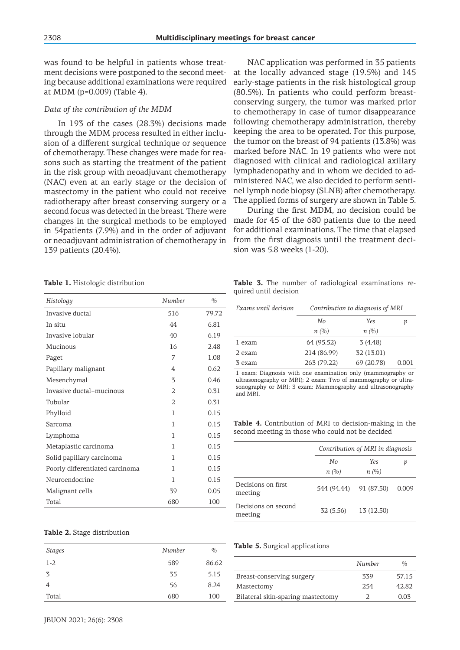was found to be helpful in patients whose treatment decisions were postponed to the second meeting because additional examinations were required at MDM (p=0.009) (Table 4).

#### *Data of the contribution of the MDM*

In 193 of the cases (28.3%) decisions made through the MDM process resulted in either inclusion of a different surgical technique or sequence of chemotherapy. These changes were made for reasons such as starting the treatment of the patient in the risk group with neoadjuvant chemotherapy (NAC) even at an early stage or the decision of mastectomy in the patient who could not receive radiotherapy after breast conserving surgery or a second focus was detected in the breast. There were changes in the surgical methods to be employed in 54patients (7.9%) and in the order of adjuvant or neoadjuvant administration of chemotherapy in 139 patients (20.4%).

NAC application was performed in 35 patients at the locally advanced stage (19.5%) and 145 early-stage patients in the risk histological group (80.5%). In patients who could perform breastconserving surgery, the tumor was marked prior to chemotherapy in case of tumor disappearance following chemotherapy administration, thereby keeping the area to be operated. For this purpose, the tumor on the breast of 94 patients (13.8%) was marked before NAC. In 19 patients who were not diagnosed with clinical and radiological axillary lymphadenopathy and in whom we decided to administered NAC, we also decided to perform sentinel lymph node biopsy (SLNB) after chemotherapy. The applied forms of surgery are shown in Table 5.

During the first MDM, no decision could be made for 45 of the 680 patients due to the need for additional examinations. The time that elapsed from the first diagnosis until the treatment decision was 5.8 weeks (1-20).

**Table 1.** Histologic distribution

| Histology                       | Number         | $\frac{0}{0}$ |
|---------------------------------|----------------|---------------|
| Invasive ductal                 | 516            | 79.72         |
| In situ                         | 44             | 6.81          |
| Invasive lobular                | 40             | 6.19          |
| Mucinous                        | 16             | 2.48          |
| Paget                           | 7              | 1.08          |
| Papillary malignant             | 4              | 0.62          |
| Mesenchymal                     | 3              | 0.46          |
| Invasive ductal+mucinous        | $\overline{2}$ | 0.31          |
| Tubular                         | $\mathfrak{D}$ | 0.31          |
| Phylloid                        | 1              | 0.15          |
| Sarcoma                         | 1              | 0.15          |
| Lymphoma                        | 1              | 0.15          |
| Metaplastic carcinoma           | 1              | 0.15          |
| Solid papillary carcinoma       | 1              | 0.15          |
| Poorly differentiated carcinoma | 1              | 0.15          |
| Neuroendocrine                  | 1              | 0.15          |
| Malignant cells                 | 39             | 0.05          |
| Total                           | 680            | 100           |

**Table 3.** The number of radiological examinations required until decision

| Exams until decision | Contribution to diagnosis of MRI |            |       |
|----------------------|----------------------------------|------------|-------|
|                      | No                               | <b>Yes</b> | р     |
|                      | n(%)                             | n(%)       |       |
| 1 exam               | 64 (95.52)                       | 3(4.48)    |       |
| 2 exam               | 214 (86.99)                      | 32 (13.01) |       |
| 3 exam               | 263 (79.22)                      | 69 (20.78) | 0.001 |

1 exam: Diagnosis with one examination only (mammography or ultrasonography or MRI); 2 exam: Two of mammography or ultrasonography or MRI; 3 exam: Mammography and ultrasonography and MRI.

**Table 4.** Contribution of MRI to decision-making in the second meeting in those who could not be decided

|                                | Contribution of MRI in diagnosis |             |       |
|--------------------------------|----------------------------------|-------------|-------|
|                                | No<br>$n(\%)$                    | Yes<br>n(%) | р     |
| Decisions on first<br>meeting  | 544 (94.44)                      | 91 (87.50)  | 0.009 |
| Decisions on second<br>meeting | 32 (5.56)                        | 13 (12.50)  |       |

#### **Table 2.** Stage distribution

| Stages  | Number | $\%$  |
|---------|--------|-------|
| $1 - 2$ | 589    | 86.62 |
| 3       | 35     | 5.15  |
| 4       | 56     | 8.24  |
| Total   | 680    | 100   |

#### **Table 5.** Surgical applications

|                                   | Number | $\%$  |
|-----------------------------------|--------|-------|
| Breast-conserving surgery         | 339    | 57.15 |
| Mastectomy                        | 2.54   | 42.82 |
| Bilateral skin-sparing mastectomy |        | 0.03  |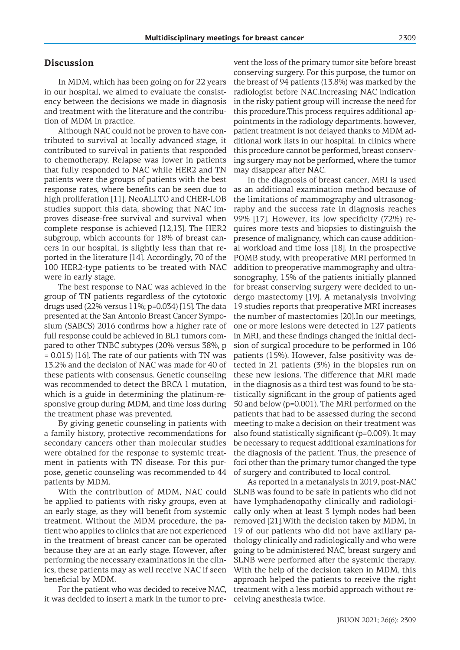## **Discussion**

In MDM, which has been going on for 22 years in our hospital, we aimed to evaluate the consistency between the decisions we made in diagnosis and treatment with the literature and the contribution of MDM in practice.

Although NAC could not be proven to have contributed to survival at locally advanced stage, it contributed to survival in patients that responded to chemotherapy. Relapse was lower in patients that fully responded to NAC while HER2 and TN patients were the groups of patients with the best response rates, where benefits can be seen due to high proliferation [11]. NeoALLTO and CHER-LOB studies support this data, showing that NAC improves disease-free survival and survival when complete response is achieved [12,13]. The HER2 subgroup, which accounts for 18% of breast cancers in our hospital, is slightly less than that reported in the literature [14]. Accordingly, 70 of the 100 HER2-type patients to be treated with NAC were in early stage.

The best response to NAC was achieved in the group of TN patients regardless of the cytotoxic drugs used (22% versus 11%; p=0.034) [15]. The data presented at the San Antonio Breast Cancer Symposium (SABCS) 2016 confirms how a higher rate of full response could be achieved in BL1 tumors compared to other TNBC subtypes (20% versus 38%, p = 0.015) [16]. The rate of our patients with TN was 13.2% and the decision of NAC was made for 40 of these patients with consensus. Genetic counseling was recommended to detect the BRCA 1 mutation, which is a guide in determining the platinum-responsive group during MDM, and time loss during the treatment phase was prevented.

By giving genetic counseling in patients with a family history, protective recommendations for secondary cancers other than molecular studies were obtained for the response to systemic treatment in patients with TN disease. For this purpose, genetic counseling was recommended to 44 patients by MDM.

With the contribution of MDM, NAC could be applied to patients with risky groups, even at an early stage, as they will benefit from systemic treatment. Without the MDM procedure, the patient who applies to clinics that are not experienced in the treatment of breast cancer can be operated because they are at an early stage. However, after performing the necessary examinations in the clinics, these patients may as well receive NAC if seen beneficial by MDM.

For the patient who was decided to receive NAC, it was decided to insert a mark in the tumor to prevent the loss of the primary tumor site before breast conserving surgery. For this purpose, the tumor on the breast of 94 patients (13.8%) was marked by the radiologist before NAC.Increasing NAC indication in the risky patient group will increase the need for this procedure.This process requires additional appointments in the radiology departments. however, patient treatment is not delayed thanks to MDM additional work lists in our hospital. In clinics where this procedure cannot be performed, breast conserving surgery may not be performed, where the tumor may disappear after NAC.

In the diagnosis of breast cancer, MRI is used as an additional examination method because of the limitations of mammography and ultrasonography and the success rate in diagnosis reaches 99% [17]. However, its low specificity (72%) requires more tests and biopsies to distinguish the presence of malignancy, which can cause additional workload and time loss [18]. In the prospective POMB study, with preoperative MRI performed in addition to preoperative mammography and ultrasonography, 15% of the patients initially planned for breast conserving surgery were decided to undergo mastectomy [19]. A metanalysis involving 19 studies reports that preoperative MRI increases the number of mastectomies [20].In our meetings, one or more lesions were detected in 127 patients in MRI, and these findings changed the initial decision of surgical procedure to be performed in 106 patients (15%). However, false positivity was detected in 21 patients (3%) in the biopsies run on these new lesions. The difference that MRI made in the diagnosis as a third test was found to be statistically significant in the group of patients aged 50 and below (p=0.001). The MRI performed on the patients that had to be assessed during the second meeting to make a decision on their treatment was also found statistically significant (p=0.009). It may be necessary to request additional examinations for the diagnosis of the patient. Thus, the presence of foci other than the primary tumor changed the type of surgery and contributed to local control.

As reported in a metanalysis in 2019, post-NAC SLNB was found to be safe in patients who did not have lymphadenopathy clinically and radiologically only when at least 3 lymph nodes had been removed [21].With the decision taken by MDM, in 19 of our patients who did not have axillary pathology clinically and radiologically and who were going to be administered NAC, breast surgery and SLNB were performed after the systemic therapy. With the help of the decision taken in MDM, this approach helped the patients to receive the right treatment with a less morbid approach without receiving anesthesia twice.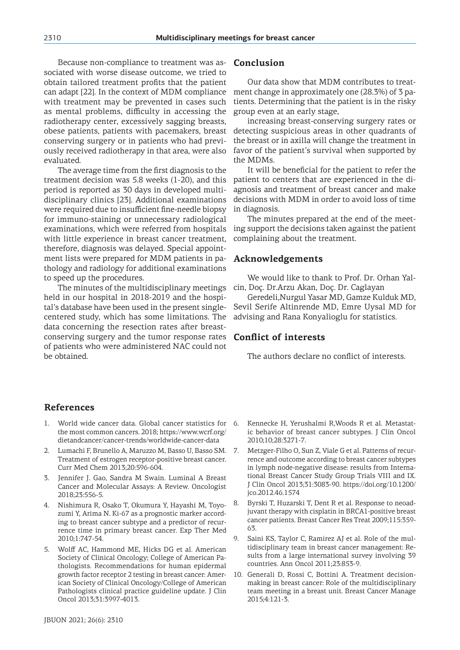Because non-compliance to treatment was associated with worse disease outcome, we tried to obtain tailored treatment profits that the patient can adapt [22]. In the context of MDM compliance with treatment may be prevented in cases such as mental problems, difficulty in accessing the radiotherapy center, excessively sagging breasts, obese patients, patients with pacemakers, breast conserving surgery or in patients who had previously received radiotherapy in that area, were also evaluated.

The average time from the first diagnosis to the treatment decision was 5.8 weeks (1-20), and this period is reported as 30 days in developed multidisciplinary clinics [23]. Additional examinations were required due to insufficient fine-needle biopsy for immuno-staining or unnecessary radiological examinations, which were referred from hospitals with little experience in breast cancer treatment, therefore, diagnosis was delayed. Special appointment lists were prepared for MDM patients in pathology and radiology for additional examinations to speed up the procedures.

The minutes of the multidisciplinary meetings held in our hospital in 2018-2019 and the hospital's database have been used in the present singlecentered study, which has some limitations. The data concerning the resection rates after breastconserving surgery and the tumor response rates of patients who were administered NAC could not be obtained.

## **Conclusion**

Our data show that MDM contributes to treatment change in approximately one (28.3%) of 3 patients. Determining that the patient is in the risky group even at an early stage,

increasing breast-conserving surgery rates or detecting suspicious areas in other quadrants of the breast or in axilla will change the treatment in favor of the patient's survival when supported by the MDMs.

It will be beneficial for the patient to refer the patient to centers that are experienced in the diagnosis and treatment of breast cancer and make decisions with MDM in order to avoid loss of time in diagnosis.

The minutes prepared at the end of the meeting support the decisions taken against the patient complaining about the treatment.

## **Acknowledgements**

We would like to thank to Prof. Dr. Orhan Yalcin, Doç. Dr.Arzu Akan, Doç. Dr. Caglayan

Geredeli,Nurgul Yasar MD, Gamze Kulduk MD, Sevil Serife Altinrende MD, Emre Uysal MD for advising and Rana Konyalioglu for statistics.

## **Conflict of interests**

The authors declare no conflict of interests.

# **References**

- 1. World wide cancer data. Global cancer statistics for the most common cancers. 2018; https://www.wcrf.org/ dietandcancer/cancer-trends/worldwide-cancer-data
- 2. Lumachi F, Brunello A, Maruzzo M, Basso U, Basso SM. Treatment of estrogen receptor-positive breast cancer. Curr Med Chem 2013;20:596-604.
- 3. Jennifer J. Gao, Sandra M Swain. Luminal A Breast Cancer and Molecular Assays: A Review. Oncologist 2018;23:556-5.
- 4. Nishimura R, Osako T, Okumura Y, Hayashi M, Toyozumi Y, Arima N. Ki-67 as a prognostic marker according to breast cancer subtype and a predictor of recurrence time in primary breast cancer. Exp Ther Med 2010;1:747-54.
- 5. Wolff AC, Hammond ME, Hicks DG et al. American Society of Clinical Oncology; College of American Pathologists. Recommendations for human epidermal growth factor receptor 2 testing in breast cancer: American Society of Clinical Oncology/College of American Pathologists clinical practice guideline update. J Clin Oncol 2013;31:3997-4013.
- Kennecke H, Yerushalmi R, Woods R et al. Metastatic behavior of breast cancer subtypes. J Clin Oncol 2010;10;28:3271-7.
- 7. Metzger-Filho O, Sun Z, Viale G et al. Patterns of recurrence and outcome according to breast cancer subtypes in lymph node-negative disease: results from International Breast Cancer Study Group Trials VIII and IX. J Clin Oncol 2013;31:3083-90. https://doi.org/10.1200/ jco.2012.46.1574
- 8. Byrski T, Huzarski T, Dent R et al. Response to neoadjuvant therapy with cisplatin in BRCA1-positive breast cancer patients. Breast Cancer Res Treat 2009;115:359- 63.
- 9. Saini KS, Taylor C, Ramirez AJ et al. Role of the multidisciplinary team in breast cancer management: Results from a large international survey involving 39 countries. Ann Oncol 2011;23:853-9.
- 10. Generali D, Rossi C, Bottini A. Treatment decisionmaking in breast cancer: Role of the multidisciplinary team meeting in a breast unit. Breast Cancer Manage 2015;4:121-3.